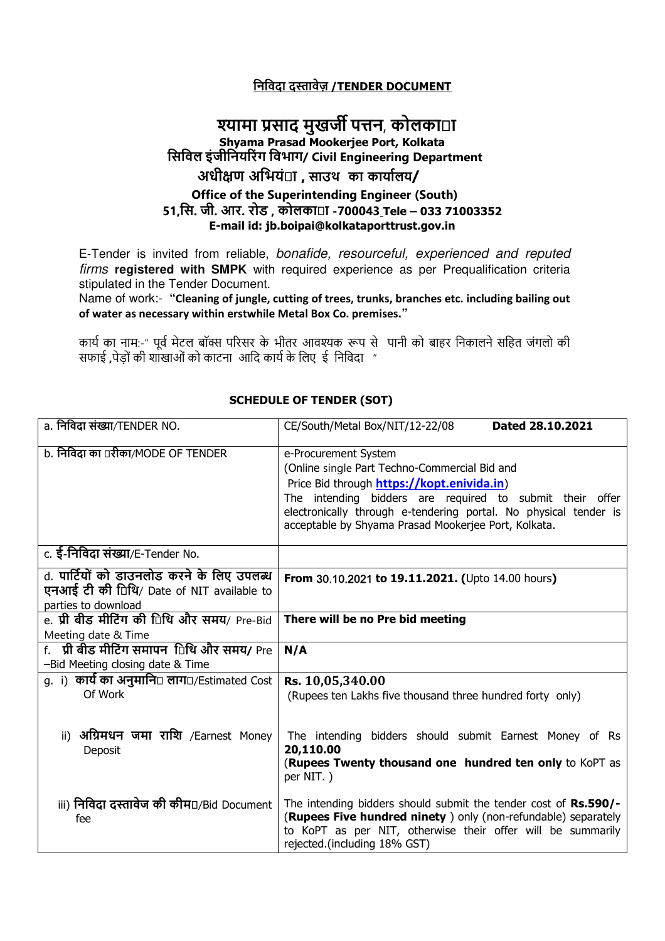## **िनिवदा दावेज़ /TENDER DOCUMENT**

## **×यामा प्रसाद मुखजी पत्तन, कोलका**⊡ा **Shyama Prasad Mookerjee Port, Kolkata िसिवल इंजीिनयरंग िवभाग/ Civil Engineering Department अधी1ण अिभयंता , साउथ का काया6लय/ Office of the Superintending Engineer (South) 51,िस. जी. आर. रोड , कोलकाता -700043 Tele – 033 71003352 E-mail id: jb.boipai@kolkataporttrust.gov.in**

E-Tender is invited from reliable, bonafide, resourceful, experienced and reputed firms **registered with SMPK** with required experience as per Prequalification criteria stipulated in the Tender Document.

Name of work:- **"Cleaning of jungle, cutting of trees, trunks, branches etc. including bailing out of water as necessary within erstwhile Metal Box Co. premises."** 

कार्य का नाम:-" पूर्व मेटल बॉक्स परिसर के भीतर आवश्यक रूप से पानी को बाहर निकालने सहित जंगलो की सफाई **,**पेड़ों की शाखाओं को काटना आिद काय के िलए ई िनिवदा "

| a. निविदा संख्या/TENDER NO.                                                                                    | CE/South/Metal Box/NIT/12-22/08<br>Dated 28.10.2021                                                                                                                                                                                                                                                         |
|----------------------------------------------------------------------------------------------------------------|-------------------------------------------------------------------------------------------------------------------------------------------------------------------------------------------------------------------------------------------------------------------------------------------------------------|
| b. निविदा का □रीका/MODE OF TENDER                                                                              | e-Procurement System<br>(Online single Part Techno-Commercial Bid and<br>Price Bid through https://kopt.enivida.in)<br>The intending bidders are required to submit their offer<br>electronically through e-tendering portal. No physical tender is<br>acceptable by Shyama Prasad Mookerjee Port, Kolkata. |
| c. ई-निविदा संख्या/E-Tender No.                                                                                |                                                                                                                                                                                                                                                                                                             |
| d. पार्टियों को डाउनलोड करने के लिए उपलब्ध<br>एनआई टी की 1िथि/ Date of NIT available to<br>parties to download | From 30.10.2021 to 19.11.2021. (Upto 14.00 hours)                                                                                                                                                                                                                                                           |
| e. प्री बीड मीटिंग की 1िथि और समय/ Pre-Bid<br>Meeting date & Time                                              | There will be no Pre bid meeting                                                                                                                                                                                                                                                                            |
| f. <b>  प्री बीड मीटिंग समापन  □िथि और समय∕</b> Pre<br>-Bid Meeting closing date & Time                        | N/A                                                                                                                                                                                                                                                                                                         |
| g. i) <b>कार्य का अनुमानि</b> □ <b>लाग</b> □/Estimated Cost<br>Of Work                                         | Rs. 10,05,340.00<br>(Rupees ten Lakhs five thousand three hundred forty only)                                                                                                                                                                                                                               |
| ii) अग्रिमधन जमा राशि /Earnest Money<br>Deposit                                                                | The intending bidders should submit Earnest Money of Rs<br>20,110.00<br>(Rupees Twenty thousand one hundred ten only to KoPT as<br>per NIT.)                                                                                                                                                                |
| iii) निविदा दस्तावेज की कीम□/Bid Document<br>fee                                                               | The intending bidders should submit the tender cost of Rs.590/-<br>(Rupees Five hundred ninety ) only (non-refundable) separately<br>to KoPT as per NIT, otherwise their offer will be summarily<br>rejected.(including 18% GST)                                                                            |

## **SCHEDULE OF TENDER (SOT)**